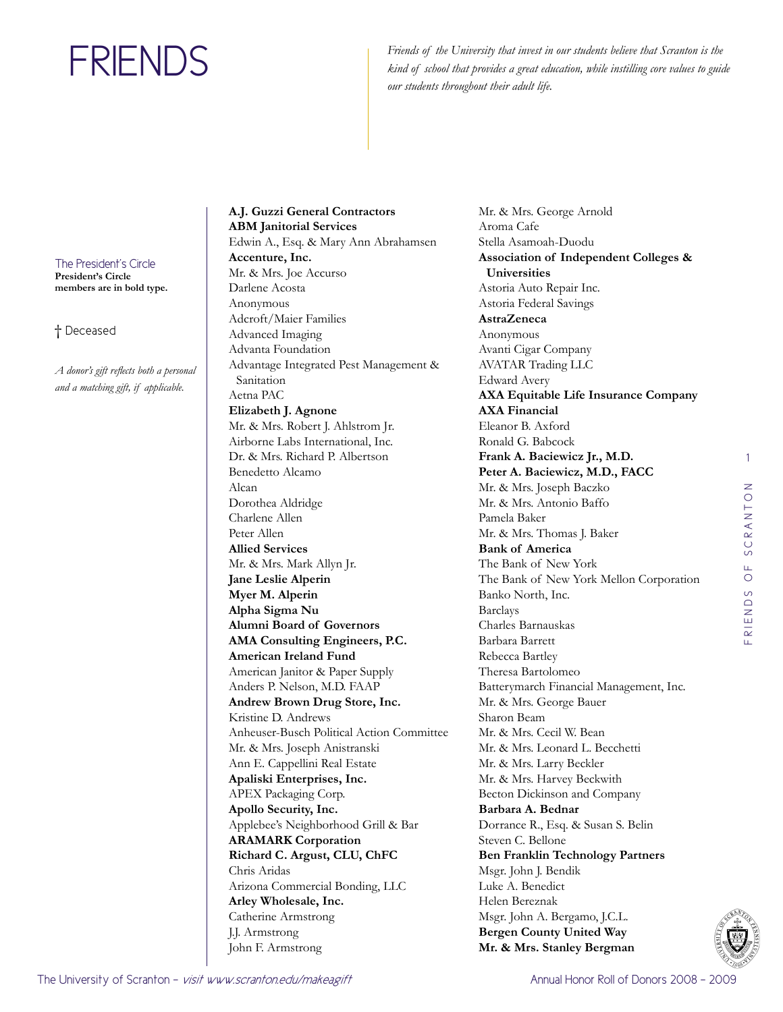Friends of the University that invest in our students believe that Scranton is the *kind of school that provides a great education, while instilling core values to guide our students throughout their adult life.*

The President's Circle **President's Circle members are in bold type.**

† Deceased

*A donor's gift reflects both a personal and a matching gift, if applicable.* 

**A.J. Guzzi General Contractors ABM Janitorial Services**  Edwin A., Esq. & Mary Ann Abrahamsen **Accenture, Inc.**  Mr. & Mrs. Joe Accurso Darlene Acosta Anonymous Adcroft/Maier Families Advanced Imaging Advanta Foundation Advantage Integrated Pest Management & Sanitation Aetna PAC **Elizabeth J. Agnone**  Mr. & Mrs. Robert J. Ahlstrom Jr. Airborne Labs International, Inc. Dr. & Mrs. Richard P. Albertson Benedetto Alcamo Alcan Dorothea Aldridge Charlene Allen Peter Allen **Allied Services**  Mr. & Mrs. Mark Allyn Jr. **Jane Leslie Alperin Myer M. Alperin Alpha Sigma Nu Alumni Board of Governors AMA Consulting Engineers, P.C. American Ireland Fund**  American Janitor & Paper Supply Anders P. Nelson, M.D. FAAP **Andrew Brown Drug Store, Inc.**  Kristine D. Andrews Anheuser-Busch Political Action Committee Mr. & Mrs. Joseph Anistranski Ann E. Cappellini Real Estate **Apaliski Enterprises, Inc.**  APEX Packaging Corp. **Apollo Security, Inc.**  Applebee's Neighborhood Grill & Bar **ARAMARK Corporation Richard C. Argust, CLU, ChFC**  Chris Aridas Arizona Commercial Bonding, LLC **Arley Wholesale, Inc.**  Catherine Armstrong J.J. Armstrong John F. Armstrong

Mr. & Mrs. George Arnold Aroma Cafe Stella Asamoah-Duodu **Association of Independent Colleges & Universities** Astoria Auto Repair Inc. Astoria Federal Savings **AstraZeneca**  Anonymous Avanti Cigar Company AVATAR Trading LLC Edward Avery **AXA Equitable Life Insurance Company AXA Financial**  Eleanor B. Axford Ronald G. Babcock **Frank A. Baciewicz Jr., M.D. Peter A. Baciewicz, M.D., FACC**  Mr. & Mrs. Joseph Baczko Mr. & Mrs. Antonio Baffo Pamela Baker Mr. & Mrs. Thomas J. Baker **Bank of America**  The Bank of New York The Bank of New York Mellon Corporation Banko North, Inc. Barclays Charles Barnauskas Barbara Barrett Rebecca Bartley Theresa Bartolomeo Batterymarch Financial Management, Inc. Mr. & Mrs. George Bauer Sharon Beam Mr. & Mrs. Cecil W. Bean Mr. & Mrs. Leonard L. Becchetti Mr. & Mrs. Larry Beckler Mr. & Mrs. Harvey Beckwith Becton Dickinson and Company **Barbara A. Bednar**  Dorrance R., Esq. & Susan S. Belin Steven C. Bellone **Ben Franklin Technology Partners**  Msgr. John J. Bendik Luke A. Benedict Helen Bereznak Msgr. John A. Bergamo, J.C.L. **Bergen County United Way Mr. & Mrs. Stanley Bergman**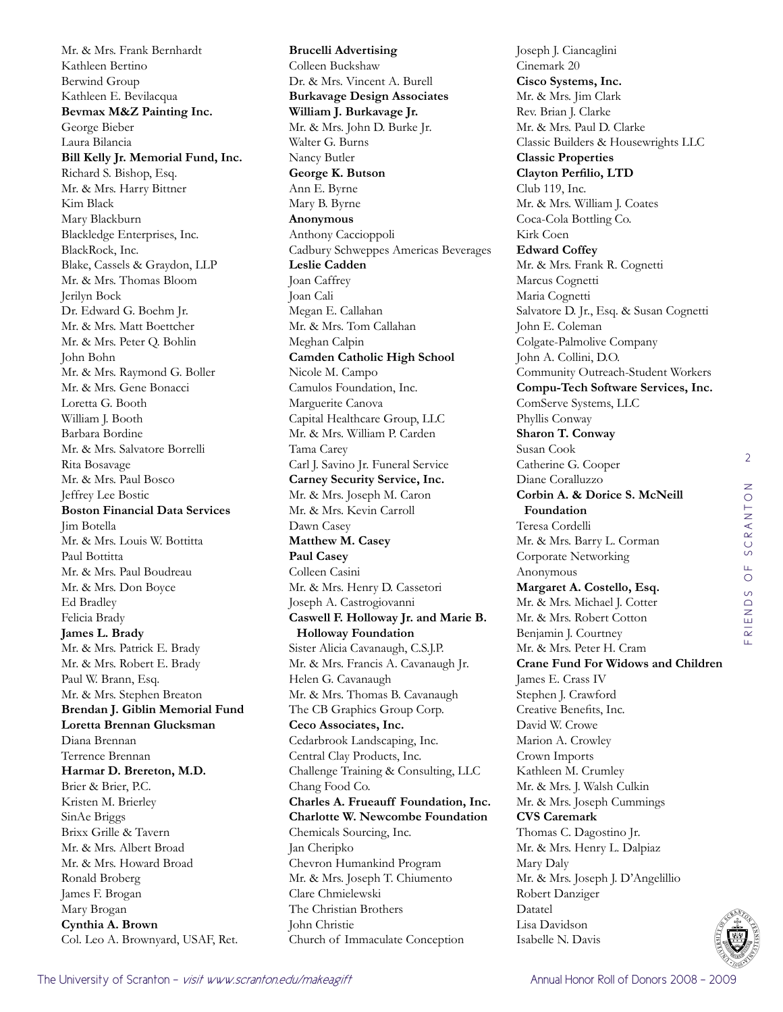Mr. & Mrs. Frank Bernhardt Kathleen Bertino Berwind Group Kathleen E. Bevilacqua **Bevmax M&Z Painting Inc.**  George Bieber Laura Bilancia **Bill Kelly Jr. Memorial Fund, Inc.**  Richard S. Bishop, Esq. Mr. & Mrs. Harry Bittner Kim Black Mary Blackburn Blackledge Enterprises, Inc. BlackRock, Inc. Blake, Cassels & Graydon, LLP Mr. & Mrs. Thomas Bloom Jerilyn Bock Dr. Edward G. Boehm Jr. Mr. & Mrs. Matt Boettcher Mr. & Mrs. Peter Q. Bohlin John Bohn Mr. & Mrs. Raymond G. Boller Mr. & Mrs. Gene Bonacci Loretta G. Booth William J. Booth Barbara Bordine Mr. & Mrs. Salvatore Borrelli Rita Bosavage Mr. & Mrs. Paul Bosco Jeffrey Lee Bostic **Boston Financial Data Services**  Jim Botella Mr. & Mrs. Louis W. Bottitta Paul Bottitta Mr. & Mrs. Paul Boudreau Mr. & Mrs. Don Boyce Ed Bradley Felicia Brady **James L. Brady**  Mr. & Mrs. Patrick E. Brady Mr. & Mrs. Robert E. Brady Paul W. Brann, Esq. Mr. & Mrs. Stephen Breaton **Brendan J. Giblin Memorial Fund Loretta Brennan Glucksman**  Diana Brennan Terrence Brennan **Harmar D. Brereton, M.D.**  Brier & Brier, P.C. Kristen M. Brierley SinAe Briggs Brixx Grille & Tavern Mr. & Mrs. Albert Broad Mr. & Mrs. Howard Broad Ronald Broberg James F. Brogan Mary Brogan **Cynthia A. Brown**  Col. Leo A. Brownyard, USAF, Ret.

**Brucelli Advertising**  Colleen Buckshaw Dr. & Mrs. Vincent A. Burell **Burkavage Design Associates William J. Burkavage Jr.**  Mr. & Mrs. John D. Burke Jr. Walter G. Burns Nancy Butler **George K. Butson**  Ann E. Byrne Mary B. Byrne **Anonymous** Anthony Caccioppoli Cadbury Schweppes Americas Beverages **Leslie Cadden**  Joan Caffrey Joan Cali Megan E. Callahan Mr. & Mrs. Tom Callahan Meghan Calpin **Camden Catholic High School**  Nicole M. Campo Camulos Foundation, Inc. Marguerite Canova Capital Healthcare Group, LLC Mr. & Mrs. William P. Carden Tama Carey Carl J. Savino Jr. Funeral Service **Carney Security Service, Inc.**  Mr. & Mrs. Joseph M. Caron Mr. & Mrs. Kevin Carroll Dawn Casey **Matthew M. Casey Paul Casey**  Colleen Casini Mr. & Mrs. Henry D. Cassetori Joseph A. Castrogiovanni **Caswell F. Holloway Jr. and Marie B. Holloway Foundation** Sister Alicia Cavanaugh, C.S.J.P. Mr. & Mrs. Francis A. Cavanaugh Jr. Helen G. Cavanaugh Mr. & Mrs. Thomas B. Cavanaugh The CB Graphics Group Corp. **Ceco Associates, Inc.**  Cedarbrook Landscaping, Inc. Central Clay Products, Inc. Challenge Training & Consulting, LLC Chang Food Co. **Charles A. Frueauff Foundation, Inc. Charlotte W. Newcombe Foundation**  Chemicals Sourcing, Inc. Jan Cheripko Chevron Humankind Program Mr. & Mrs. Joseph T. Chiumento Clare Chmielewski The Christian Brothers John Christie Church of Immaculate Conception

Joseph J. Ciancaglini Cinemark 20 **Cisco Systems, Inc.**  Mr. & Mrs. Jim Clark Rev. Brian J. Clarke Mr. & Mrs. Paul D. Clarke Classic Builders & Housewrights LLC **Classic Properties Clayton Perfilio, LTD** Club 119, Inc. Mr. & Mrs. William J. Coates Coca-Cola Bottling Co. Kirk Coen **Edward Coffey**  Mr. & Mrs. Frank R. Cognetti Marcus Cognetti Maria Cognetti Salvatore D. Jr., Esq. & Susan Cognetti John E. Coleman Colgate-Palmolive Company John A. Collini, D.O. Community Outreach-Student Workers **Compu-Tech Software Services, Inc.**  ComServe Systems, LLC Phyllis Conway **Sharon T. Conway**  Susan Cook Catherine G. Cooper Diane Coralluzzo **Corbin A. & Dorice S. McNeill Foundation**  Teresa Cordelli Mr. & Mrs. Barry L. Corman Corporate Networking Anonymous **Margaret A. Costello, Esq.**  Mr. & Mrs. Michael J. Cotter Mr. & Mrs. Robert Cotton Benjamin J. Courtney Mr. & Mrs. Peter H. Cram **Crane Fund For Widows and Children**  James E. Crass IV Stephen J. Crawford Creative Benefits, Inc. David W. Crowe Marion A. Crowley Crown Imports Kathleen M. Crumley Mr. & Mrs. J. Walsh Culkin Mr. & Mrs. Joseph Cummings **CVS Caremark**  Thomas C. Dagostino Jr. Mr. & Mrs. Henry L. Dalpiaz Mary Daly Mr. & Mrs. Joseph J. D'Angelillio Robert Danziger Datatel Lisa Davidson Isabelle N. Davis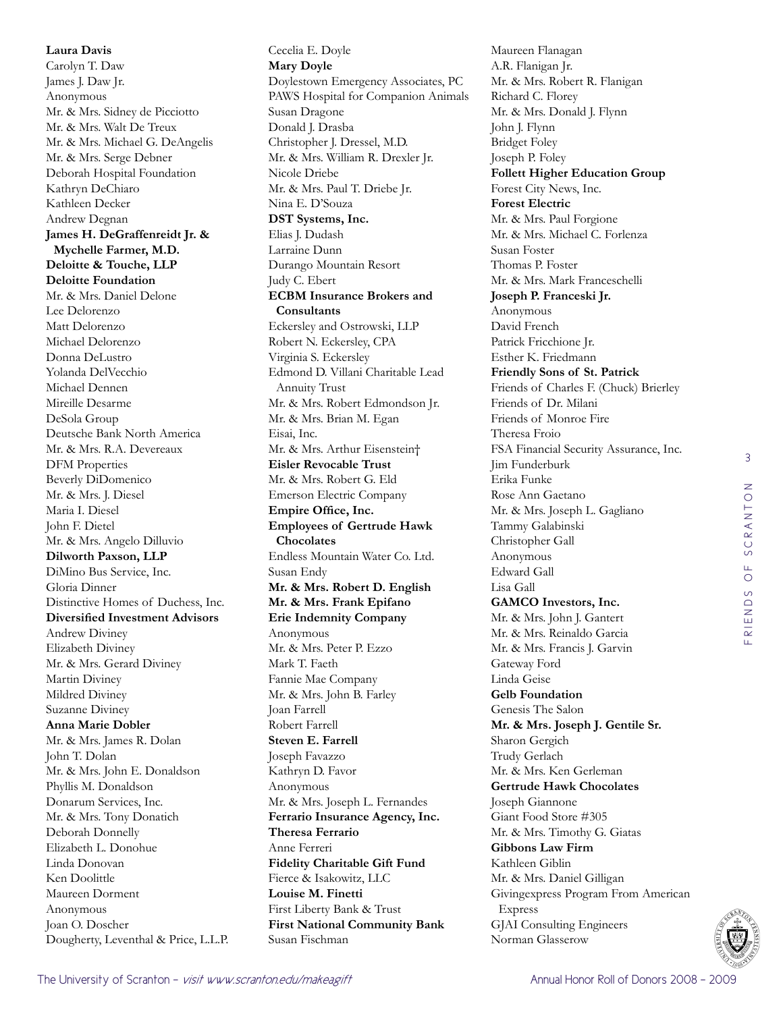**Laura Davis**  Carolyn T. Daw James J. Daw Jr. Anonymous Mr. & Mrs. Sidney de Picciotto Mr. & Mrs. Walt De Treux Mr. & Mrs. Michael G. DeAngelis Mr. & Mrs. Serge Debner Deborah Hospital Foundation Kathryn DeChiaro Kathleen Decker Andrew Degnan **James H. DeGraffenreidt Jr. & Mychelle Farmer, M.D. Deloitte & Touche, LLP Deloitte Foundation**  Mr. & Mrs. Daniel Delone Lee Delorenzo Matt Delorenzo Michael Delorenzo Donna DeLustro Yolanda DelVecchio Michael Dennen Mireille Desarme DeSola Group Deutsche Bank North America Mr. & Mrs. R.A. Devereaux DFM Properties Beverly DiDomenico Mr. & Mrs. J. Diesel Maria I. Diesel John F. Dietel Mr. & Mrs. Angelo Dilluvio **Dilworth Paxson, LLP**  DiMino Bus Service, Inc. Gloria Dinner Distinctive Homes of Duchess, Inc. **Diversified Investment Advisors**  Andrew Diviney Elizabeth Diviney Mr. & Mrs. Gerard Diviney Martin Diviney Mildred Diviney Suzanne Diviney **Anna Marie Dobler**  Mr. & Mrs. James R. Dolan John T. Dolan Mr. & Mrs. John E. Donaldson Phyllis M. Donaldson Donarum Services, Inc. Mr. & Mrs. Tony Donatich Deborah Donnelly Elizabeth L. Donohue Linda Donovan Ken Doolittle Maureen Dorment Anonymous Joan O. Doscher

Cecelia E. Doyle **Mary Doyle**  Doylestown Emergency Associates, PC PAWS Hospital for Companion Animals Susan Dragone Donald J. Drasba Christopher J. Dressel, M.D. Mr. & Mrs. William R. Drexler Jr. Nicole Driebe Mr. & Mrs. Paul T. Driebe Jr. Nina E. D'Souza **DST Systems, Inc.**  Elias J. Dudash Larraine Dunn Durango Mountain Resort Judy C. Ebert **ECBM Insurance Brokers and Consultants**  Eckersley and Ostrowski, LLP Robert N. Eckersley, CPA Virginia S. Eckersley Edmond D. Villani Charitable Lead Annuity Trust Mr. & Mrs. Robert Edmondson Jr. Mr. & Mrs. Brian M. Egan Eisai, Inc. Mr. & Mrs. Arthur Eisenstein† **Eisler Revocable Trust**  Mr. & Mrs. Robert G. Eld Emerson Electric Company **Empire Office, Inc. Employees of Gertrude Hawk Chocolates**  Endless Mountain Water Co. Ltd. Susan Endy **Mr. & Mrs. Robert D. English Mr. & Mrs. Frank Epifano Erie Indemnity Company**  Anonymous Mr. & Mrs. Peter P. Ezzo Mark T. Faeth Fannie Mae Company Mr. & Mrs. John B. Farley Joan Farrell Robert Farrell **Steven E. Farrell**  Joseph Favazzo Kathryn D. Favor Anonymous Mr. & Mrs. Joseph L. Fernandes **Ferrario Insurance Agency, Inc. Theresa Ferrario**  Anne Ferreri **Fidelity Charitable Gift Fund**  Fierce & Isakowitz, LLC **Louise M. Finetti**  First Liberty Bank & Trust **First National Community Bank** 

Maureen Flanagan A.R. Flanigan Jr. Mr. & Mrs. Robert R. Flanigan Richard C. Florey Mr. & Mrs. Donald J. Flynn John J. Flynn Bridget Foley Joseph P. Foley **Follett Higher Education Group**  Forest City News, Inc. **Forest Electric**  Mr. & Mrs. Paul Forgione Mr. & Mrs. Michael C. Forlenza Susan Foster Thomas P. Foster Mr. & Mrs. Mark Franceschelli **Joseph P. Franceski Jr.**  Anonymous David French Patrick Fricchione Jr. Esther K. Friedmann **Friendly Sons of St. Patrick**  Friends of Charles F. (Chuck) Brierley Friends of Dr. Milani Friends of Monroe Fire Theresa Froio FSA Financial Security Assurance, Inc. Jim Funderburk Erika Funke Rose Ann Gaetano Mr. & Mrs. Joseph L. Gagliano Tammy Galabinski Christopher Gall Anonymous Edward Gall Lisa Gall **GAMCO Investors, Inc.**  Mr. & Mrs. John J. Gantert Mr. & Mrs. Reinaldo Garcia Mr. & Mrs. Francis J. Garvin Gateway Ford Linda Geise **Gelb Foundation**  Genesis The Salon **Mr. & Mrs. Joseph J. Gentile Sr.**  Sharon Gergich Trudy Gerlach Mr. & Mrs. Ken Gerleman **Gertrude Hawk Chocolates**  Joseph Giannone Giant Food Store #305 Mr. & Mrs. Timothy G. Giatas **Gibbons Law Firm**  Kathleen Giblin Mr. & Mrs. Daniel Gilligan Givingexpress Program From American Express GJAI Consulting Engineers Norman Glasserow

Susan Fischman

Dougherty, Leventhal & Price, L.L.P.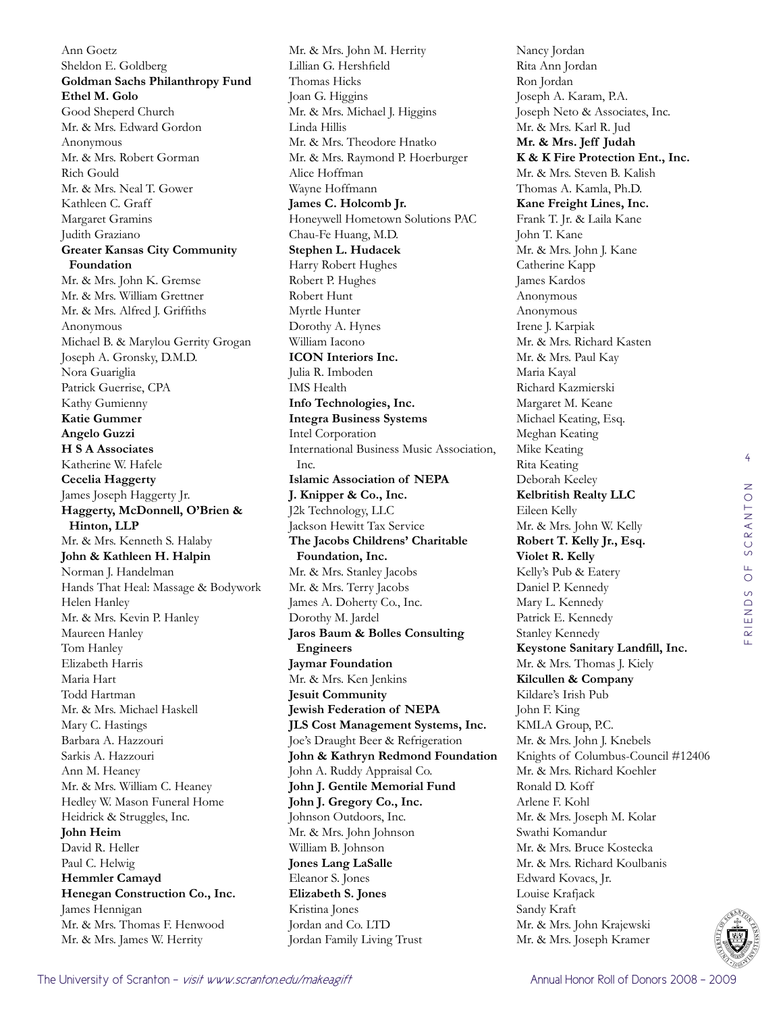Ann Goetz Sheldon E. Goldberg **Goldman Sachs Philanthropy Fund Ethel M. Golo**  Good Sheperd Church Mr. & Mrs. Edward Gordon Anonymous Mr. & Mrs. Robert Gorman Rich Gould Mr. & Mrs. Neal T. Gower Kathleen C. Graff Margaret Gramins Judith Graziano **Greater Kansas City Community Foundation**  Mr. & Mrs. John K. Gremse Mr. & Mrs. William Grettner Mr. & Mrs. Alfred J. Griffiths Anonymous Michael B. & Marylou Gerrity Grogan Joseph A. Gronsky, D.M.D. Nora Guariglia Patrick Guerrise, CPA Kathy Gumienny **Katie Gummer Angelo Guzzi H S A Associates**  Katherine W. Hafele **Cecelia Haggerty** James Joseph Haggerty Jr. **Haggerty, McDonnell, O'Brien & Hinton, LLP**  Mr. & Mrs. Kenneth S. Halaby **John & Kathleen H. Halpin** Norman J. Handelman Hands That Heal: Massage & Bodywork Helen Hanley Mr. & Mrs. Kevin P. Hanley Maureen Hanley Tom Hanley Elizabeth Harris Maria Hart Todd Hartman Mr. & Mrs. Michael Haskell Mary C. Hastings Barbara A. Hazzouri Sarkis A. Hazzouri Ann M. Heaney Mr. & Mrs. William C. Heaney Hedley W. Mason Funeral Home Heidrick & Struggles, Inc. **John Heim**  David R. Heller Paul C. Helwig **Hemmler Camayd Henegan Construction Co., Inc.**  James Hennigan Mr. & Mrs. Thomas F. Henwood Mr. & Mrs. James W. Herrity

Mr. & Mrs. John M. Herrity Lillian G. Hershfield Thomas Hicks Joan G. Higgins Mr. & Mrs. Michael J. Higgins Linda Hillis Mr. & Mrs. Theodore Hnatko Mr. & Mrs. Raymond P. Hoerburger Alice Hoffman Wayne Hoffmann **James C. Holcomb Jr.**  Honeywell Hometown Solutions PAC Chau-Fe Huang, M.D. **Stephen L. Hudacek**  Harry Robert Hughes Robert P. Hughes Robert Hunt Myrtle Hunter Dorothy A. Hynes William Iacono **ICON Interiors Inc.**  Julia R. Imboden IMS Health **Info Technologies, Inc. Integra Business Systems**  Intel Corporation International Business Music Association, Inc. **Islamic Association of NEPA J. Knipper & Co., Inc.**  J2k Technology, LLC Jackson Hewitt Tax Service **The Jacobs Childrens' Charitable Foundation, Inc.**  Mr. & Mrs. Stanley Jacobs Mr. & Mrs. Terry Jacobs James A. Doherty Co., Inc. Dorothy M. Jardel **Jaros Baum & Bolles Consulting Engineers Jaymar Foundation**  Mr. & Mrs. Ken Jenkins **Jesuit Community Jewish Federation of NEPA JLS Cost Management Systems, Inc.**  Joe's Draught Beer & Refrigeration **John & Kathryn Redmond Foundation**  John A. Ruddy Appraisal Co. **John J. Gentile Memorial Fund John J. Gregory Co., Inc.**  Johnson Outdoors, Inc. Mr. & Mrs. John Johnson William B. Johnson **Jones Lang LaSalle**  Eleanor S. Jones **Elizabeth S. Jones**  Kristina Jones Jordan and Co. LTD Jordan Family Living Trust

Nancy Jordan Rita Ann Jordan Ron Jordan Joseph A. Karam, P.A. Joseph Neto & Associates, Inc. Mr. & Mrs. Karl R. Jud **Mr. & Mrs. Jeff Judah K & K Fire Protection Ent., Inc.**  Mr. & Mrs. Steven B. Kalish Thomas A. Kamla, Ph.D. **Kane Freight Lines, Inc.**  Frank T. Jr. & Laila Kane John T. Kane Mr. & Mrs. John J. Kane Catherine Kapp James Kardos Anonymous Anonymous Irene J. Karpiak Mr. & Mrs. Richard Kasten Mr. & Mrs. Paul Kay Maria Kayal Richard Kazmierski Margaret M. Keane Michael Keating, Esq. Meghan Keating Mike Keating Rita Keating Deborah Keeley **Kelbritish Realty LLC**  Eileen Kelly Mr. & Mrs. John W. Kelly **Robert T. Kelly Jr., Esq. Violet R. Kelly**  Kelly's Pub & Eatery Daniel P. Kennedy Mary L. Kennedy Patrick E. Kennedy Stanley Kennedy **Keystone Sanitary Landfill, Inc.**  Mr. & Mrs. Thomas J. Kiely **Kilcullen & Company**  Kildare's Irish Pub John F. King KMLA Group, P.C. Mr. & Mrs. John J. Knebels Knights of Columbus-Council #12406 Mr. & Mrs. Richard Koehler Ronald D. Koff Arlene F. Kohl Mr. & Mrs. Joseph M. Kolar Swathi Komandur Mr. & Mrs. Bruce Kostecka Mr. & Mrs. Richard Koulbanis Edward Kovacs, Jr. Louise Krafjack Sandy Kraft Mr. & Mrs. John Krajewski Mr. & Mrs. Joseph Kramer

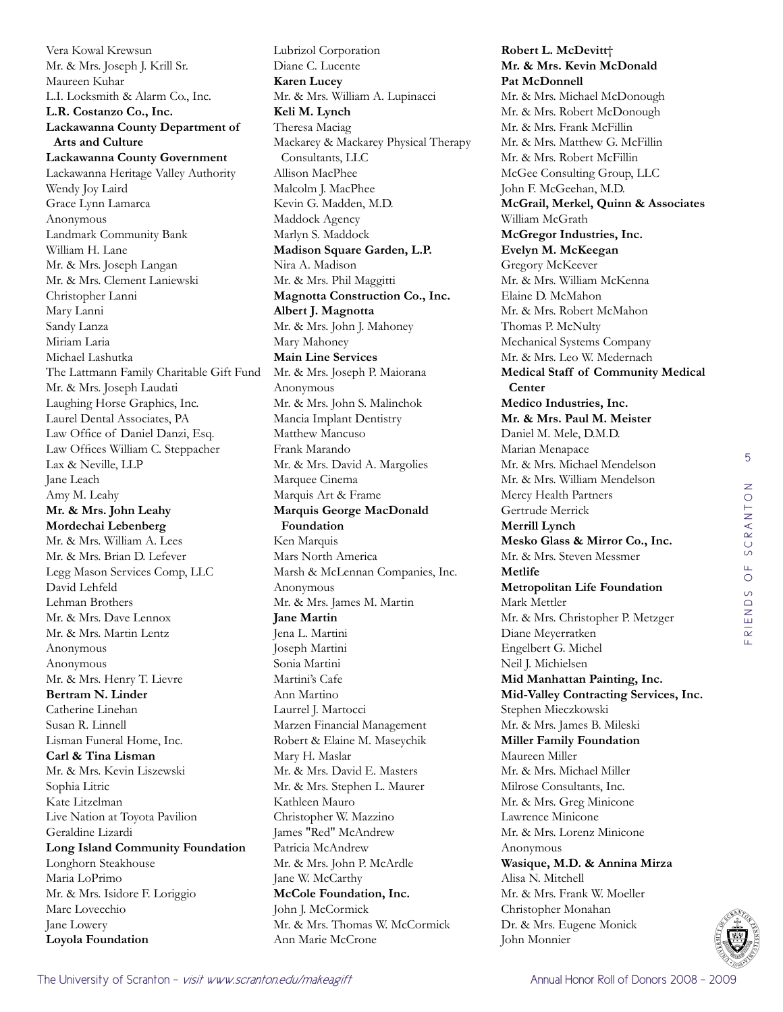Vera Kowal Krewsun Mr. & Mrs. Joseph J. Krill Sr. Maureen Kuhar L.I. Locksmith & Alarm Co., Inc. **L.R. Costanzo Co., Inc. Lackawanna County Department of Arts and Culture Lackawanna County Government**  Lackawanna Heritage Valley Authority Wendy Joy Laird Grace Lynn Lamarca Anonymous Landmark Community Bank William H. Lane Mr. & Mrs. Joseph Langan Mr. & Mrs. Clement Laniewski Christopher Lanni Mary Lanni Sandy Lanza Miriam Laria Michael Lashutka The Lattmann Family Charitable Gift Fund Mr. & Mrs. Joseph Laudati Laughing Horse Graphics, Inc. Laurel Dental Associates, PA Law Office of Daniel Danzi, Esq. Law Offices William C. Steppacher Lax & Neville, LLP Jane Leach Amy M. Leahy **Mr. & Mrs. John Leahy Mordechai Lebenberg**  Mr. & Mrs. William A. Lees Mr. & Mrs. Brian D. Lefever Legg Mason Services Comp, LLC David Lehfeld Lehman Brothers Mr. & Mrs. Dave Lennox Mr. & Mrs. Martin Lentz Anonymous Anonymous Mr. & Mrs. Henry T. Lievre **Bertram N. Linder**  Catherine Linehan Susan R. Linnell Lisman Funeral Home, Inc. **Carl & Tina Lisman** Mr. & Mrs. Kevin Liszewski Sophia Litric Kate Litzelman Live Nation at Toyota Pavilion Geraldine Lizardi **Long Island Community Foundation**  Longhorn Steakhouse Maria LoPrimo Mr. & Mrs. Isidore F. Loriggio Marc Lovecchio Jane Lowery **Loyola Foundation** 

Lubrizol Corporation Diane C. Lucente **Karen Lucey**  Mr. & Mrs. William A. Lupinacci **Keli M. Lynch**  Theresa Maciag Mackarey & Mackarey Physical Therapy Consultants, LLC Allison MacPhee Malcolm J. MacPhee Kevin G. Madden, M.D. Maddock Agency Marlyn S. Maddock **Madison Square Garden, L.P.**  Nira A. Madison Mr. & Mrs. Phil Maggitti **Magnotta Construction Co., Inc. Albert J. Magnotta**  Mr. & Mrs. John J. Mahoney Mary Mahoney **Main Line Services**  Mr. & Mrs. Joseph P. Maiorana Anonymous Mr. & Mrs. John S. Malinchok Mancia Implant Dentistry Matthew Mancuso Frank Marando Mr. & Mrs. David A. Margolies Marquee Cinema Marquis Art & Frame **Marquis George MacDonald Foundation**  Ken Marquis Mars North America Marsh & McLennan Companies, Inc. Anonymous Mr. & Mrs. James M. Martin **Jane Martin**  Jena L. Martini Joseph Martini Sonia Martini Martini's Cafe Ann Martino Laurrel J. Martocci Marzen Financial Management Robert & Elaine M. Maseychik Mary H. Maslar Mr. & Mrs. David E. Masters Mr. & Mrs. Stephen L. Maurer Kathleen Mauro Christopher W. Mazzino James "Red" McAndrew Patricia McAndrew Mr. & Mrs. John P. McArdle Jane W. McCarthy **McCole Foundation, Inc.**  John J. McCormick Mr. & Mrs. Thomas W. McCormick Ann Marie McCrone

**Robert L. McDevitt**† **Mr. & Mrs. Kevin McDonald Pat McDonnell**  Mr. & Mrs. Michael McDonough Mr. & Mrs. Robert McDonough Mr. & Mrs. Frank McFillin Mr. & Mrs. Matthew G. McFillin Mr. & Mrs. Robert McFillin McGee Consulting Group, LLC John F. McGeehan, M.D. **McGrail, Merkel, Quinn & Associates**  William McGrath **McGregor Industries, Inc. Evelyn M. McKeegan**  Gregory McKeever Mr. & Mrs. William McKenna Elaine D. McMahon Mr. & Mrs. Robert McMahon Thomas P. McNulty Mechanical Systems Company Mr. & Mrs. Leo W. Medernach **Medical Staff of Community Medical Center Medico Industries, Inc. Mr. & Mrs. Paul M. Meister**  Daniel M. Mele, D.M.D. Marian Menapace Mr. & Mrs. Michael Mendelson Mr. & Mrs. William Mendelson Mercy Health Partners Gertrude Merrick **Merrill Lynch Mesko Glass & Mirror Co., Inc.**  Mr. & Mrs. Steven Messmer **Metlife Metropolitan Life Foundation**  Mark Mettler Mr. & Mrs. Christopher P. Metzger Diane Meyerratken Engelbert G. Michel Neil J. Michielsen **Mid Manhattan Painting, Inc. Mid-Valley Contracting Services, Inc.**  Stephen Mieczkowski Mr. & Mrs. James B. Mileski **Miller Family Foundation**  Maureen Miller Mr. & Mrs. Michael Miller Milrose Consultants, Inc. Mr. & Mrs. Greg Minicone Lawrence Minicone Mr. & Mrs. Lorenz Minicone Anonymous **Wasique, M.D. & Annina Mirza** Alisa N. Mitchell Mr. & Mrs. Frank W. Moeller Christopher Monahan Dr. & Mrs. Eugene Monick John Monnier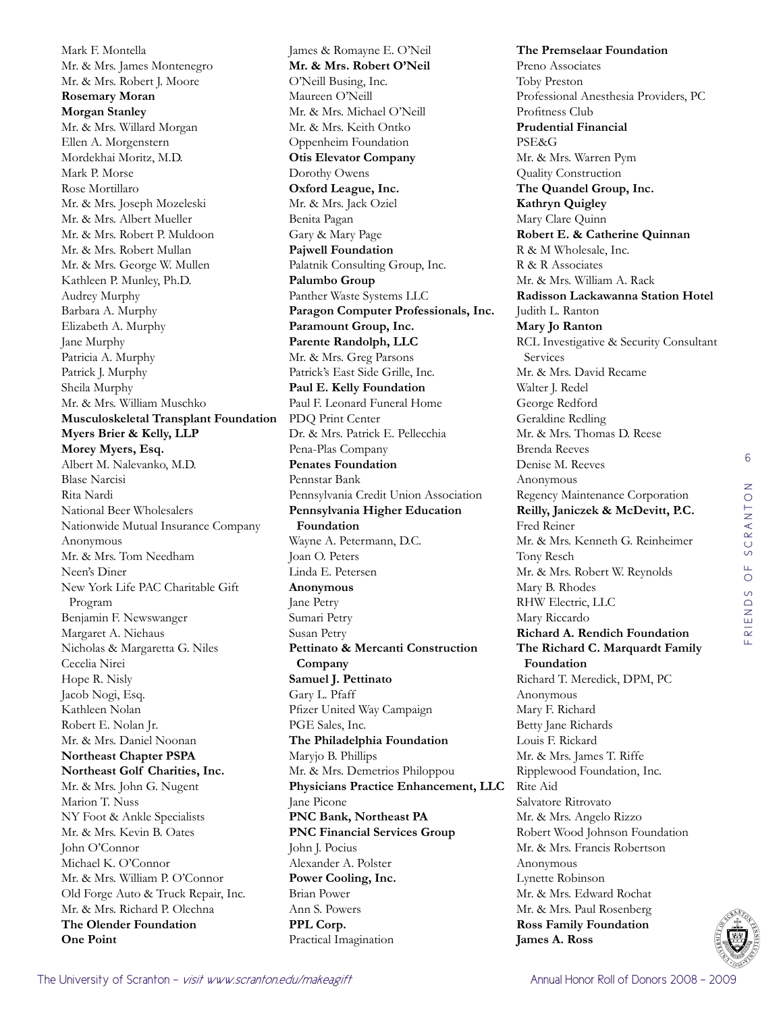Mark F. Montella Mr. & Mrs. James Montenegro Mr. & Mrs. Robert J. Moore **Rosemary Moran Morgan Stanley**  Mr. & Mrs. Willard Morgan Ellen A. Morgenstern Mordekhai Moritz, M.D. Mark P. Morse Rose Mortillaro Mr. & Mrs. Joseph Mozeleski Mr. & Mrs. Albert Mueller Mr. & Mrs. Robert P. Muldoon Mr. & Mrs. Robert Mullan Mr. & Mrs. George W. Mullen Kathleen P. Munley, Ph.D. Audrey Murphy Barbara A. Murphy Elizabeth A. Murphy Jane Murphy Patricia A. Murphy Patrick J. Murphy Sheila Murphy Mr. & Mrs. William Muschko **Musculoskeletal Transplant Foundation Myers Brier & Kelly, LLP Morey Myers, Esq.**  Albert M. Nalevanko, M.D. Blase Narcisi Rita Nardi National Beer Wholesalers Nationwide Mutual Insurance Company Anonymous Mr. & Mrs. Tom Needham Neen's Diner New York Life PAC Charitable Gift Program Benjamin F. Newswanger Margaret A. Niehaus Nicholas & Margaretta G. Niles Cecelia Nirei Hope R. Nisly Jacob Nogi, Esq. Kathleen Nolan Robert E. Nolan Jr. Mr. & Mrs. Daniel Noonan **Northeast Chapter PSPA Northeast Golf Charities, Inc.**  Mr. & Mrs. John G. Nugent Marion T. Nuss NY Foot & Ankle Specialists Mr. & Mrs. Kevin B. Oates John O'Connor Michael K. O'Connor Mr. & Mrs. William P. O'Connor Old Forge Auto & Truck Repair, Inc. Mr. & Mrs. Richard P. Olechna **The Olender Foundation One Point** 

James & Romayne E. O'Neil **Mr. & Mrs. Robert O'Neil**  O'Neill Busing, Inc. Maureen O'Neill Mr. & Mrs. Michael O'Neill Mr. & Mrs. Keith Ontko Oppenheim Foundation **Otis Elevator Company**  Dorothy Owens **Oxford League, Inc.**  Mr. & Mrs. Jack Oziel Benita Pagan Gary & Mary Page **Pajwell Foundation**  Palatnik Consulting Group, Inc. **Palumbo Group**  Panther Waste Systems LLC **Paragon Computer Professionals, Inc. Paramount Group, Inc. Parente Randolph, LLC**  Mr. & Mrs. Greg Parsons Patrick's East Side Grille, Inc. **Paul E. Kelly Foundation**  Paul F. Leonard Funeral Home PDQ Print Center Dr. & Mrs. Patrick E. Pellecchia Pena-Plas Company **Penates Foundation**  Pennstar Bank Pennsylvania Credit Union Association **Pennsylvania Higher Education Foundation**  Wayne A. Petermann, D.C. Joan O. Peters Linda E. Petersen **Anonymous** Jane Petry Sumari Petry Susan Petry **Pettinato & Mercanti Construction Company Samuel J. Pettinato**  Gary L. Pfaff Pfizer United Way Campaign PGE Sales, Inc. **The Philadelphia Foundation**  Maryjo B. Phillips Mr. & Mrs. Demetrios Philoppou **Physicians Practice Enhancement, LLC**  Jane Picone **PNC Bank, Northeast PA PNC Financial Services Group**  John J. Pocius Alexander A. Polster **Power Cooling, Inc.**  Brian Power Ann S. Powers **PPL Corp.**  Practical Imagination

**The Premselaar Foundation**  Preno Associates Toby Preston Professional Anesthesia Providers, PC Profitness Club **Prudential Financial**  PSE&G Mr. & Mrs. Warren Pym Quality Construction **The Quandel Group, Inc. Kathryn Quigley**  Mary Clare Quinn **Robert E. & Catherine Quinnan** R & M Wholesale, Inc. R & R Associates Mr. & Mrs. William A. Rack **Radisson Lackawanna Station Hotel**  Judith L. Ranton **Mary Jo Ranton**  RCL Investigative & Security Consultant Services Mr. & Mrs. David Recame Walter J. Redel George Redford Geraldine Redling Mr. & Mrs. Thomas D. Reese Brenda Reeves Denise M. Reeves Anonymous Regency Maintenance Corporation **Reilly, Janiczek & McDevitt, P.C.**  Fred Reiner Mr. & Mrs. Kenneth G. Reinheimer Tony Resch Mr. & Mrs. Robert W. Reynolds Mary B. Rhodes RHW Electric, LLC Mary Riccardo **Richard A. Rendich Foundation The Richard C. Marquardt Family Foundation**  Richard T. Meredick, DPM, PC Anonymous Mary F. Richard Betty Jane Richards Louis F. Rickard Mr. & Mrs. James T. Riffe Ripplewood Foundation, Inc. Rite Aid Salvatore Ritrovato Mr. & Mrs. Angelo Rizzo Robert Wood Johnson Foundation Mr. & Mrs. Francis Robertson Anonymous Lynette Robinson Mr. & Mrs. Edward Rochat Mr. & Mrs. Paul Rosenberg **Ross Family Foundation James A. Ross** 

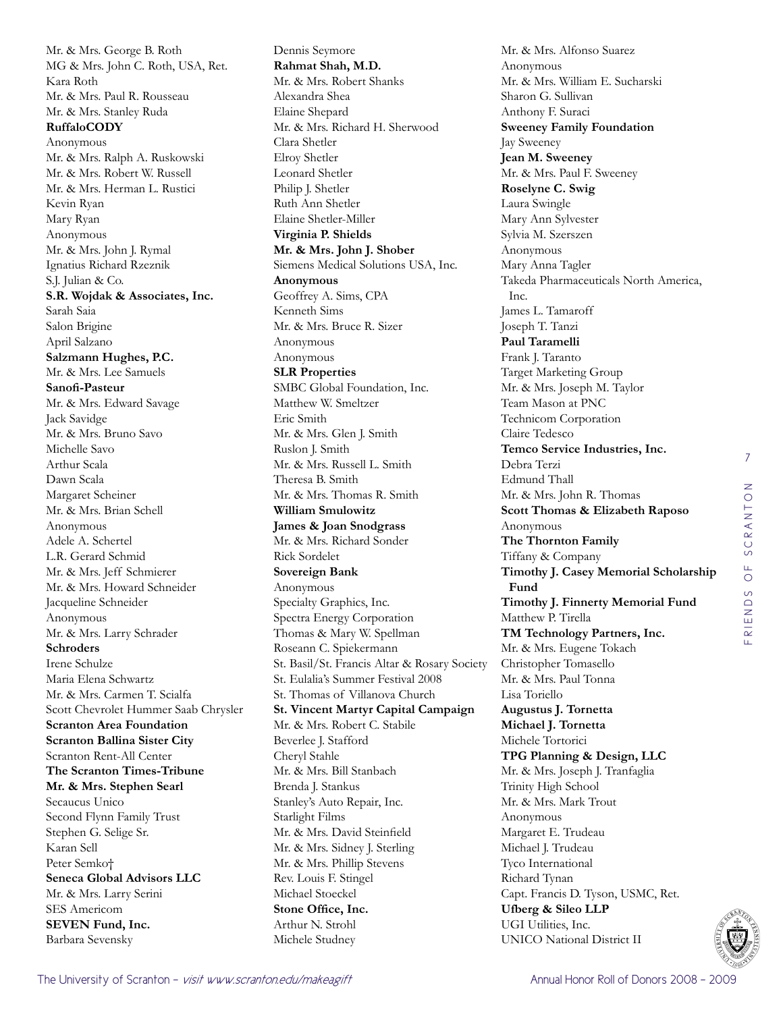Mr. & Mrs. George B. Roth MG & Mrs. John C. Roth, USA, Ret. Kara Roth Mr. & Mrs. Paul R. Rousseau Mr. & Mrs. Stanley Ruda **RuffaloCODY** Anonymous Mr. & Mrs. Ralph A. Ruskowski Mr. & Mrs. Robert W. Russell Mr. & Mrs. Herman L. Rustici Kevin Ryan Mary Ryan Anonymous Mr. & Mrs. John J. Rymal Ignatius Richard Rzeznik S.J. Julian & Co. **S.R. Wojdak & Associates, Inc.**  Sarah Saia Salon Brigine April Salzano **Salzmann Hughes, P.C.**  Mr. & Mrs. Lee Samuels **Sanofi-Pasteur**  Mr. & Mrs. Edward Savage Jack Savidge Mr. & Mrs. Bruno Savo Michelle Savo Arthur Scala Dawn Scala Margaret Scheiner Mr. & Mrs. Brian Schell Anonymous Adele A. Schertel L.R. Gerard Schmid Mr. & Mrs. Jeff Schmierer Mr. & Mrs. Howard Schneider Jacqueline Schneider Anonymous Mr. & Mrs. Larry Schrader **Schroders**  Irene Schulze Maria Elena Schwartz Mr. & Mrs. Carmen T. Scialfa Scott Chevrolet Hummer Saab Chrysler **Scranton Area Foundation Scranton Ballina Sister City**  Scranton Rent-All Center **The Scranton Times-Tribune Mr. & Mrs. Stephen Searl**  Secaucus Unico Second Flynn Family Trust Stephen G. Selige Sr. Karan Sell Peter Semko† **Seneca Global Advisors LLC**  Mr. & Mrs. Larry Serini SES Americom **SEVEN Fund, Inc.**  Barbara Sevensky

Dennis Seymore **Rahmat Shah, M.D.**  Mr. & Mrs. Robert Shanks Alexandra Shea Elaine Shepard Mr. & Mrs. Richard H. Sherwood Clara Shetler Elroy Shetler Leonard Shetler Philip J. Shetler Ruth Ann Shetler Elaine Shetler-Miller **Virginia P. Shields Mr. & Mrs. John J. Shober**  Siemens Medical Solutions USA, Inc. **Anonymous** Geoffrey A. Sims, CPA Kenneth Sims Mr. & Mrs. Bruce R. Sizer Anonymous Anonymous **SLR Properties**  SMBC Global Foundation, Inc. Matthew W. Smeltzer Eric Smith Mr. & Mrs. Glen J. Smith Ruslon J. Smith Mr. & Mrs. Russell L. Smith Theresa B. Smith Mr. & Mrs. Thomas R. Smith **William Smulowitz James & Joan Snodgrass** Mr. & Mrs. Richard Sonder Rick Sordelet **Sovereign Bank**  Anonymous Specialty Graphics, Inc. Spectra Energy Corporation Thomas & Mary W. Spellman Roseann C. Spiekermann St. Basil/St. Francis Altar & Rosary Society St. Eulalia's Summer Festival 2008 St. Thomas of Villanova Church **St. Vincent Martyr Capital Campaign**  Mr. & Mrs. Robert C. Stabile Beverlee J. Stafford Cheryl Stahle Mr. & Mrs. Bill Stanbach Brenda J. Stankus Stanley's Auto Repair, Inc. Starlight Films Mr. & Mrs. David Steinfield Mr. & Mrs. Sidney J. Sterling Mr. & Mrs. Phillip Stevens Rev. Louis F. Stingel Michael Stoeckel **Stone Office, Inc.**  Arthur N. Strohl Michele Studney

Mr. & Mrs. Alfonso Suarez Anonymous Mr. & Mrs. William E. Sucharski Sharon G. Sullivan Anthony F. Suraci **Sweeney Family Foundation**  Jay Sweeney **Jean M. Sweeney**  Mr. & Mrs. Paul F. Sweeney **Roselyne C. Swig**  Laura Swingle Mary Ann Sylvester Sylvia M. Szerszen Anonymous Mary Anna Tagler Takeda Pharmaceuticals North America, Inc. James L. Tamaroff Joseph T. Tanzi **Paul Taramelli**  Frank J. Taranto Target Marketing Group Mr. & Mrs. Joseph M. Taylor Team Mason at PNC Technicom Corporation Claire Tedesco **Temco Service Industries, Inc.**  Debra Terzi Edmund Thall Mr. & Mrs. John R. Thomas **Scott Thomas & Elizabeth Raposo** Anonymous **The Thornton Family**  Tiffany & Company **Timothy J. Casey Memorial Scholarship Fund Timothy J. Finnerty Memorial Fund**  Matthew P. Tirella **TM Technology Partners, Inc.**  Mr. & Mrs. Eugene Tokach Christopher Tomasello Mr. & Mrs. Paul Tonna Lisa Toriello **Augustus J. Tornetta Michael J. Tornetta**  Michele Tortorici **TPG Planning & Design, LLC**  Mr. & Mrs. Joseph J. Tranfaglia Trinity High School Mr. & Mrs. Mark Trout Anonymous Margaret E. Trudeau Michael J. Trudeau Tyco International Richard Tynan Capt. Francis D. Tyson, USMC, Ret. **Ufberg & Sileo LLP**  UGI Utilities, Inc. UNICO National District II